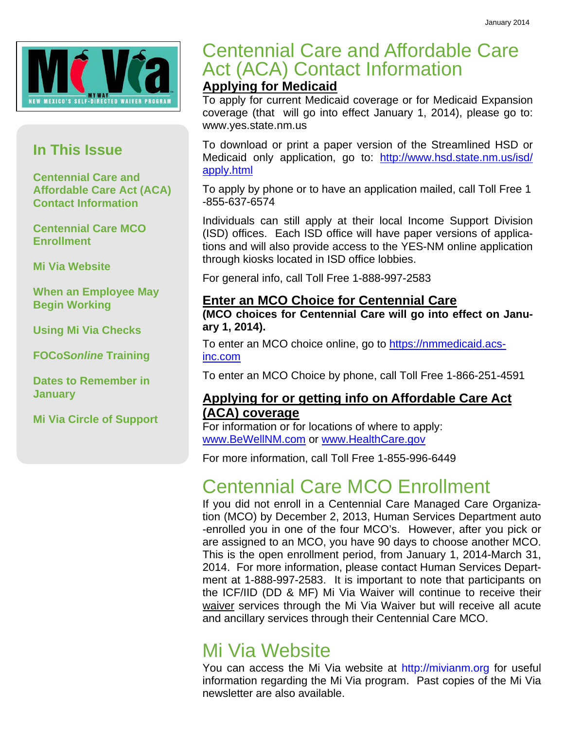

## **In This Issue**

**Centennial Care and Affordable Care Act (ACA) Contact Information** 

**Centennial Care MCO Enrollment** 

**Mi Via Website** 

**When an Employee May Begin Working** 

**Using Mi Via Checks** 

**FOCoS***online* **Training** 

**Dates to Remember in January** 

**Mi Via Circle of Support** 

## Centennial Care and Affordable Care Act (ACA) Contact Information

## **Applying for Medicaid**

To apply for current Medicaid coverage or for Medicaid Expansion coverage (that will go into effect January 1, 2014), please go to: www.yes.state.nm.us

To download or print a paper version of the Streamlined HSD or Medicaid only application, go to: http://www.hsd.state.nm.us/isd/ apply.html

To apply by phone or to have an application mailed, call Toll Free 1 -855-637-6574

Individuals can still apply at their local Income Support Division (ISD) offices. Each ISD office will have paper versions of applications and will also provide access to the YES-NM online application through kiosks located in ISD office lobbies.

For general info, call Toll Free 1-888-997-2583

## **Enter an MCO Choice for Centennial Care**

**(MCO choices for Centennial Care will go into effect on January 1, 2014).** 

To enter an MCO choice online, go to https://nmmedicaid.acsinc.com

To enter an MCO Choice by phone, call Toll Free 1-866-251-4591

## **Applying for or getting info on Affordable Care Act (ACA) coverage**

For information or for locations of where to apply: www.BeWellNM.com or www.HealthCare.gov

For more information, call Toll Free 1-855-996-6449

## Centennial Care MCO Enrollment

If you did not enroll in a Centennial Care Managed Care Organization (MCO) by December 2, 2013, Human Services Department auto -enrolled you in one of the four MCO's. However, after you pick or are assigned to an MCO, you have 90 days to choose another MCO. This is the open enrollment period, from January 1, 2014-March 31, 2014. For more information, please contact Human Services Department at 1-888-997-2583. It is important to note that participants on the ICF/IID (DD & MF) Mi Via Waiver will continue to receive their waiver services through the Mi Via Waiver but will receive all acute and ancillary services through their Centennial Care MCO.

## Mi Via Website

You can access the Mi Via website at http://mivianm.org for useful information regarding the Mi Via program. Past copies of the Mi Via newsletter are also available.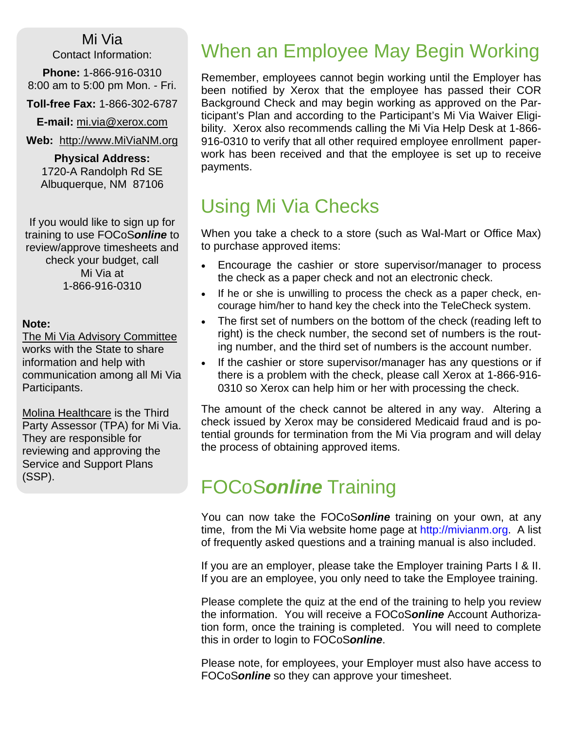Mi Via Contact Information:

**Phone:** 1-866-916-0310 8:00 am to 5:00 pm Mon. - Fri.

**Toll-free Fax:** 1-866-302-6787

**E-mail:** mi.via@xerox.com

**Web:** http://www.MiViaNM.org

**Physical Address:** 1720-A Randolph Rd SE Albuquerque, NM 87106

If you would like to sign up for training to use FOCoS*online* to review/approve timesheets and check your budget, call Mi Via at 1-866-916-0310

#### **Note:**

The Mi Via Advisory Committee works with the State to share information and help with communication among all Mi Via Participants.

Molina Healthcare is the Third Party Assessor (TPA) for Mi Via. They are responsible for reviewing and approving the Service and Support Plans (SSP).

## When an Employee May Begin Working

Remember, employees cannot begin working until the Employer has been notified by Xerox that the employee has passed their COR Background Check and may begin working as approved on the Participant's Plan and according to the Participant's Mi Via Waiver Eligibility. Xerox also recommends calling the Mi Via Help Desk at 1-866- 916-0310 to verify that all other required employee enrollment paperwork has been received and that the employee is set up to receive payments.

# Using Mi Via Checks

When you take a check to a store (such as Wal-Mart or Office Max) to purchase approved items:

- Encourage the cashier or store supervisor/manager to process the check as a paper check and not an electronic check.
- If he or she is unwilling to process the check as a paper check, encourage him/her to hand key the check into the TeleCheck system.
- The first set of numbers on the bottom of the check (reading left to right) is the check number, the second set of numbers is the routing number, and the third set of numbers is the account number.
- If the cashier or store supervisor/manager has any questions or if there is a problem with the check, please call Xerox at 1-866-916- 0310 so Xerox can help him or her with processing the check.

The amount of the check cannot be altered in any way. Altering a check issued by Xerox may be considered Medicaid fraud and is potential grounds for termination from the Mi Via program and will delay the process of obtaining approved items.

## FOCoS*online* Training

You can now take the FOCoS*online* training on your own, at any time, from the Mi Via website home page at http://mivianm.org. A list of frequently asked questions and a training manual is also included.

If you are an employer, please take the Employer training Parts I & II. If you are an employee, you only need to take the Employee training.

Please complete the quiz at the end of the training to help you review the information. You will receive a FOCoS*online* Account Authorization form, once the training is completed. You will need to complete this in order to login to FOCoS*online*.

Please note, for employees, your Employer must also have access to FOCoS*online* so they can approve your timesheet.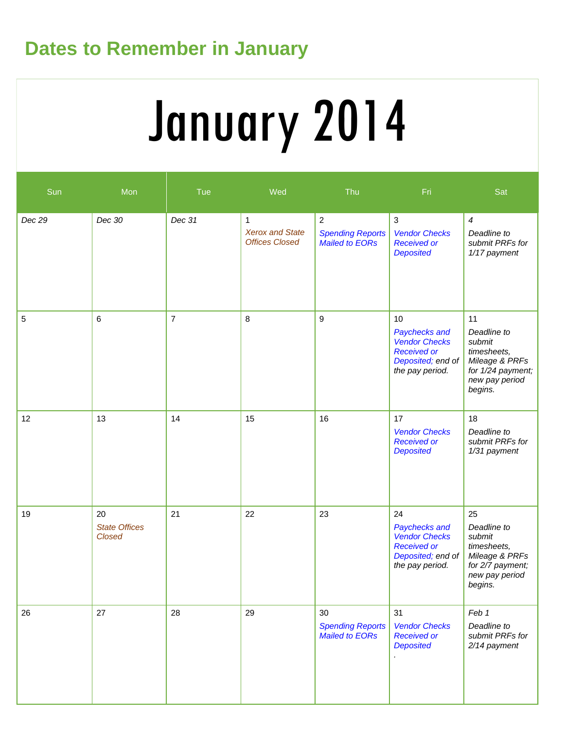# **Dates to Remember in January**

# January 2014

| Sun    | Mon                                         | Tue            | Wed                                                  | Thu                                                                | Fri.                                                                                                      | Sat                                                                                                                       |
|--------|---------------------------------------------|----------------|------------------------------------------------------|--------------------------------------------------------------------|-----------------------------------------------------------------------------------------------------------|---------------------------------------------------------------------------------------------------------------------------|
| Dec 29 | Dec 30                                      | Dec 31         | 1<br><b>Xerox and State</b><br><b>Offices Closed</b> | $\overline{2}$<br><b>Spending Reports</b><br><b>Mailed to EORs</b> | $\sqrt{3}$<br><b>Vendor Checks</b><br><b>Received or</b><br><b>Deposited</b>                              | $\boldsymbol{4}$<br>Deadline to<br>submit PRFs for<br>1/17 payment                                                        |
| 5      | 6                                           | $\overline{7}$ | 8                                                    | 9                                                                  | 10<br>Paychecks and<br><b>Vendor Checks</b><br><b>Received or</b><br>Deposited; end of<br>the pay period. | 11<br>Deadline to<br>submit<br>timesheets,<br>Mileage & PRFs<br>for 1/24 payment;<br>new pay period<br>begins.            |
| 12     | 13                                          | 14             | 15                                                   | 16                                                                 | 17<br><b>Vendor Checks</b><br><b>Received or</b><br><b>Deposited</b>                                      | 18<br>Deadline to<br>submit PRFs for<br>1/31 payment                                                                      |
| 19     | 20<br><b>State Offices</b><br><b>Closed</b> | 21             | 22                                                   | 23                                                                 | 24<br>Paychecks and<br><b>Vendor Checks</b><br><b>Received or</b><br>Deposited; end of<br>the pay period. | 25<br>Deadline to<br>submit<br>timesheets,<br>Mileage & PRFs<br>for $2\overline{7}$ payment;<br>new pay period<br>begins. |
| 26     | 27                                          | 28             | 29                                                   | 30<br><b>Spending Reports</b><br><b>Mailed to EORs</b>             | 31<br><b>Vendor Checks</b><br><b>Received or</b><br><b>Deposited</b>                                      | Feb 1<br>Deadline to<br>submit PRFs for<br>2/14 payment                                                                   |